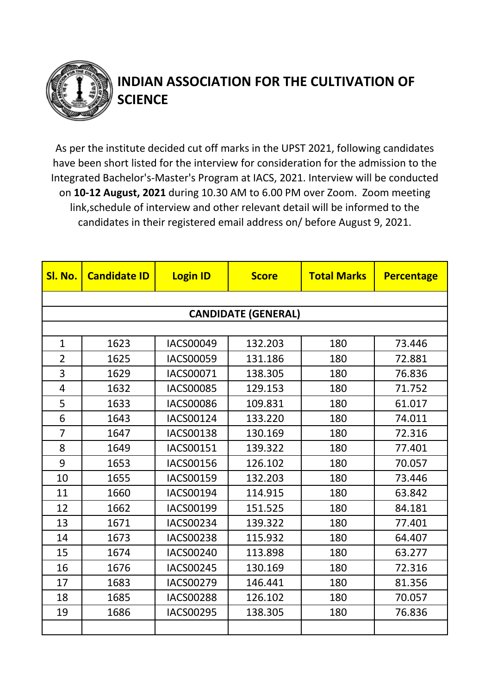

## **INDIAN ASSOCIATION FOR THE CULTIVATION OF SCIENCE**

As per the institute decided cut off marks in the UPST 2021, following candidates have been short listed for the interview for consideration for the admission to the Integrated Bachelor's-Master's Program at IACS, 2021. Interview will be conducted on **10-12 August, 2021** during 10.30 AM to 6.00 PM over Zoom. Zoom meeting link,schedule of interview and other relevant detail will be informed to the candidates in their registered email address on/ before August 9, 2021.

| Sl. No.        | <b>Candidate ID</b> | <b>Login ID</b>  | <b>Score</b>               | <b>Total Marks</b> | <b>Percentage</b> |  |  |  |
|----------------|---------------------|------------------|----------------------------|--------------------|-------------------|--|--|--|
|                |                     |                  |                            |                    |                   |  |  |  |
|                |                     |                  | <b>CANDIDATE (GENERAL)</b> |                    |                   |  |  |  |
|                |                     |                  |                            |                    |                   |  |  |  |
| $\mathbf{1}$   | 1623                | <b>IACS00049</b> | 132.203                    | 180                | 73.446            |  |  |  |
| $\overline{2}$ | 1625                | <b>IACS00059</b> | 131.186                    | 180                | 72.881            |  |  |  |
| 3              | 1629                | IACS00071        | 138.305                    | 180                | 76.836            |  |  |  |
| $\overline{4}$ | 1632                | <b>IACS00085</b> | 129.153                    | 180                | 71.752            |  |  |  |
| 5              | 1633                | <b>IACS00086</b> | 109.831                    | 180                | 61.017            |  |  |  |
| 6              | 1643                | <b>IACS00124</b> | 133.220                    | 180                | 74.011            |  |  |  |
| $\overline{7}$ | 1647                | <b>IACS00138</b> | 130.169                    | 180                | 72.316            |  |  |  |
| 8              | 1649                | <b>IACS00151</b> | 139.322                    | 180                | 77.401            |  |  |  |
| 9              | 1653                | <b>IACS00156</b> | 126.102                    | 180                | 70.057            |  |  |  |
| 10             | 1655                | <b>IACS00159</b> | 132.203                    | 180                | 73.446            |  |  |  |
| 11             | 1660                | <b>IACS00194</b> | 114.915                    | 180                | 63.842            |  |  |  |
| 12             | 1662                | <b>IACS00199</b> | 151.525                    | 180                | 84.181            |  |  |  |
| 13             | 1671                | <b>IACS00234</b> | 139.322                    | 180                | 77.401            |  |  |  |
| 14             | 1673                | <b>IACS00238</b> | 115.932                    | 180                | 64.407            |  |  |  |
| 15             | 1674                | <b>IACS00240</b> | 113.898                    | 180                | 63.277            |  |  |  |
| 16             | 1676                | <b>IACS00245</b> | 130.169                    | 180                | 72.316            |  |  |  |
| 17             | 1683                | <b>IACS00279</b> | 146.441                    | 180                | 81.356            |  |  |  |
| 18             | 1685                | <b>IACS00288</b> | 126.102                    | 180                | 70.057            |  |  |  |
| 19             | 1686                | <b>IACS00295</b> | 138.305                    | 180                | 76.836            |  |  |  |
|                |                     |                  |                            |                    |                   |  |  |  |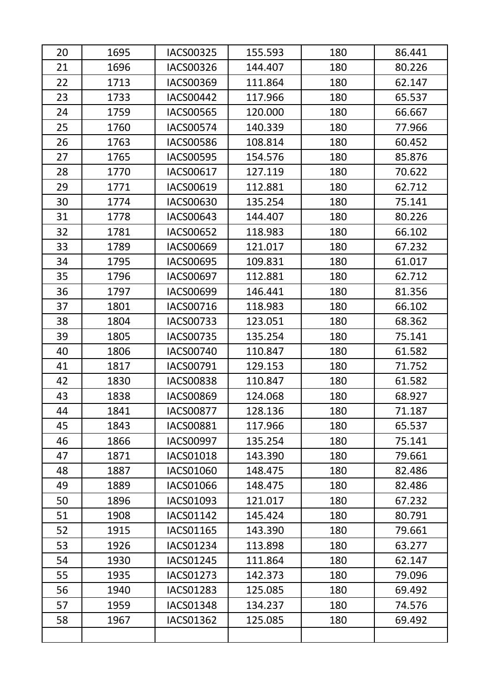| 20 | 1695 | <b>IACS00325</b> | 155.593 | 180 | 86.441 |
|----|------|------------------|---------|-----|--------|
| 21 | 1696 | <b>IACS00326</b> | 144.407 | 180 | 80.226 |
| 22 | 1713 | <b>IACS00369</b> | 111.864 | 180 | 62.147 |
| 23 | 1733 | <b>IACS00442</b> | 117.966 | 180 | 65.537 |
| 24 | 1759 | <b>IACS00565</b> | 120.000 | 180 | 66.667 |
| 25 | 1760 | <b>IACS00574</b> | 140.339 | 180 | 77.966 |
| 26 | 1763 | <b>IACS00586</b> | 108.814 | 180 | 60.452 |
| 27 | 1765 | <b>IACS00595</b> | 154.576 | 180 | 85.876 |
| 28 | 1770 | <b>IACS00617</b> | 127.119 | 180 | 70.622 |
| 29 | 1771 | IACS00619        | 112.881 | 180 | 62.712 |
| 30 | 1774 | IACS00630        | 135.254 | 180 | 75.141 |
| 31 | 1778 | IACS00643        | 144.407 | 180 | 80.226 |
| 32 | 1781 | IACS00652        | 118.983 | 180 | 66.102 |
| 33 | 1789 | <b>IACS00669</b> | 121.017 | 180 | 67.232 |
| 34 | 1795 | <b>IACS00695</b> | 109.831 | 180 | 61.017 |
| 35 | 1796 | <b>IACS00697</b> | 112.881 | 180 | 62.712 |
| 36 | 1797 | <b>IACS00699</b> | 146.441 | 180 | 81.356 |
| 37 | 1801 | <b>IACS00716</b> | 118.983 | 180 | 66.102 |
| 38 | 1804 | <b>IACS00733</b> | 123.051 | 180 | 68.362 |
| 39 | 1805 | <b>IACS00735</b> | 135.254 | 180 | 75.141 |
| 40 | 1806 | <b>IACS00740</b> | 110.847 | 180 | 61.582 |
| 41 | 1817 | IACS00791        | 129.153 | 180 | 71.752 |
| 42 | 1830 | <b>IACS00838</b> | 110.847 | 180 | 61.582 |
| 43 | 1838 | <b>IACS00869</b> | 124.068 | 180 | 68.927 |
| 44 | 1841 | <b>IACS00877</b> | 128.136 | 180 | 71.187 |
| 45 | 1843 | <b>IACS00881</b> | 117.966 | 180 | 65.537 |
| 46 | 1866 | IACS00997        | 135.254 | 180 | 75.141 |
| 47 | 1871 | <b>IACS01018</b> | 143.390 | 180 | 79.661 |
| 48 | 1887 | IACS01060        | 148.475 | 180 | 82.486 |
| 49 | 1889 | IACS01066        | 148.475 | 180 | 82.486 |
| 50 | 1896 | IACS01093        | 121.017 | 180 | 67.232 |
| 51 | 1908 | <b>IACS01142</b> | 145.424 | 180 | 80.791 |
| 52 | 1915 | <b>IACS01165</b> | 143.390 | 180 | 79.661 |
| 53 | 1926 | IACS01234        | 113.898 | 180 | 63.277 |
| 54 | 1930 | <b>IACS01245</b> | 111.864 | 180 | 62.147 |
| 55 | 1935 | IACS01273        | 142.373 | 180 | 79.096 |
| 56 | 1940 | <b>IACS01283</b> | 125.085 | 180 | 69.492 |
| 57 | 1959 | <b>IACS01348</b> | 134.237 | 180 | 74.576 |
| 58 | 1967 | <b>IACS01362</b> | 125.085 | 180 | 69.492 |
|    |      |                  |         |     |        |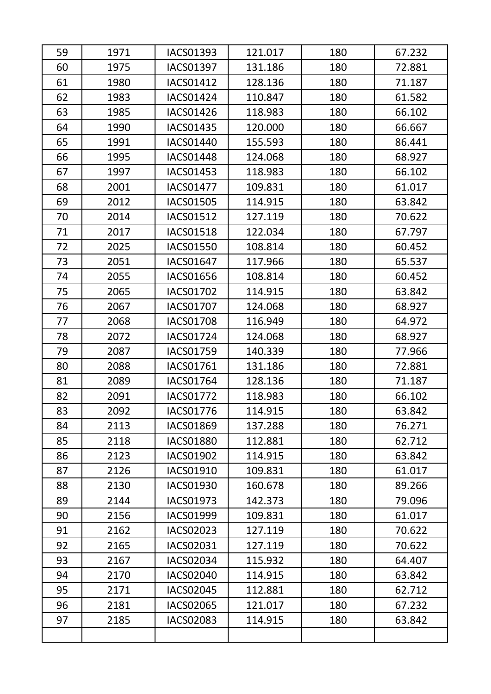| 59 | 1971 | <b>IACS01393</b> | 121.017 | 180 | 67.232 |
|----|------|------------------|---------|-----|--------|
| 60 | 1975 | <b>IACS01397</b> | 131.186 | 180 | 72.881 |
| 61 | 1980 | <b>IACS01412</b> | 128.136 | 180 | 71.187 |
| 62 | 1983 | <b>IACS01424</b> | 110.847 | 180 | 61.582 |
| 63 | 1985 | <b>IACS01426</b> | 118.983 | 180 | 66.102 |
| 64 | 1990 | <b>IACS01435</b> | 120.000 | 180 | 66.667 |
| 65 | 1991 | <b>IACS01440</b> | 155.593 | 180 | 86.441 |
| 66 | 1995 | <b>IACS01448</b> | 124.068 | 180 | 68.927 |
| 67 | 1997 | <b>IACS01453</b> | 118.983 | 180 | 66.102 |
| 68 | 2001 | <b>IACS01477</b> | 109.831 | 180 | 61.017 |
| 69 | 2012 | <b>IACS01505</b> | 114.915 | 180 | 63.842 |
| 70 | 2014 | <b>IACS01512</b> | 127.119 | 180 | 70.622 |
| 71 | 2017 | <b>IACS01518</b> | 122.034 | 180 | 67.797 |
| 72 | 2025 | <b>IACS01550</b> | 108.814 | 180 | 60.452 |
| 73 | 2051 | <b>IACS01647</b> | 117.966 | 180 | 65.537 |
| 74 | 2055 | IACS01656        | 108.814 | 180 | 60.452 |
| 75 | 2065 | <b>IACS01702</b> | 114.915 | 180 | 63.842 |
| 76 | 2067 | <b>IACS01707</b> | 124.068 | 180 | 68.927 |
| 77 | 2068 | <b>IACS01708</b> | 116.949 | 180 | 64.972 |
| 78 | 2072 | IACS01724        | 124.068 | 180 | 68.927 |
| 79 | 2087 | <b>IACS01759</b> | 140.339 | 180 | 77.966 |
| 80 | 2088 | IACS01761        | 131.186 | 180 | 72.881 |
| 81 | 2089 | IACS01764        | 128.136 | 180 | 71.187 |
| 82 | 2091 | <b>IACS01772</b> | 118.983 | 180 | 66.102 |
| 83 | 2092 | IACS01776        | 114.915 | 180 | 63.842 |
| 84 | 2113 | <b>IACS01869</b> | 137.288 | 180 | 76.271 |
| 85 | 2118 | <b>IACS01880</b> | 112.881 | 180 | 62.712 |
| 86 | 2123 | <b>IACS01902</b> | 114.915 | 180 | 63.842 |
| 87 | 2126 | IACS01910        | 109.831 | 180 | 61.017 |
| 88 | 2130 | <b>IACS01930</b> | 160.678 | 180 | 89.266 |
| 89 | 2144 | IACS01973        | 142.373 | 180 | 79.096 |
| 90 | 2156 | <b>IACS01999</b> | 109.831 | 180 | 61.017 |
| 91 | 2162 | IACS02023        | 127.119 | 180 | 70.622 |
| 92 | 2165 | IACS02031        | 127.119 | 180 | 70.622 |
| 93 | 2167 | IACS02034        | 115.932 | 180 | 64.407 |
| 94 | 2170 | <b>IACS02040</b> | 114.915 | 180 | 63.842 |
| 95 | 2171 | <b>IACS02045</b> | 112.881 | 180 | 62.712 |
| 96 | 2181 | <b>IACS02065</b> | 121.017 | 180 | 67.232 |
| 97 | 2185 | <b>IACS02083</b> | 114.915 | 180 | 63.842 |
|    |      |                  |         |     |        |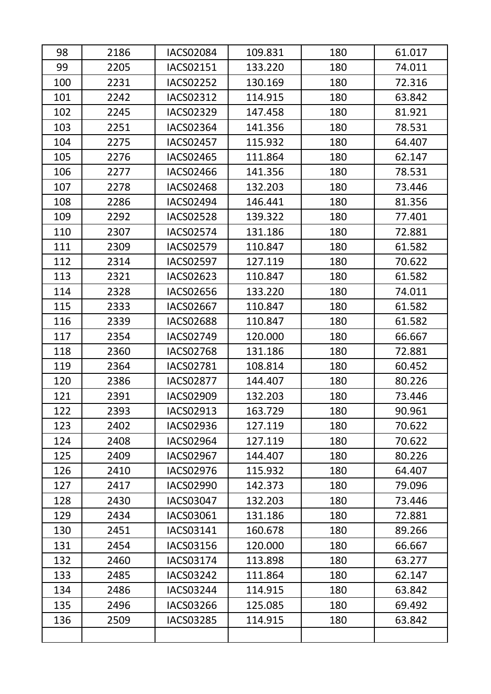| 98  | 2186 | <b>IACS02084</b> | 109.831 | 180 | 61.017 |
|-----|------|------------------|---------|-----|--------|
| 99  | 2205 | IACS02151        | 133.220 | 180 | 74.011 |
| 100 | 2231 | <b>IACS02252</b> | 130.169 | 180 | 72.316 |
| 101 | 2242 | IACS02312        | 114.915 | 180 | 63.842 |
| 102 | 2245 | <b>IACS02329</b> | 147.458 | 180 | 81.921 |
| 103 | 2251 | <b>IACS02364</b> | 141.356 | 180 | 78.531 |
| 104 | 2275 | <b>IACS02457</b> | 115.932 | 180 | 64.407 |
| 105 | 2276 | <b>IACS02465</b> | 111.864 | 180 | 62.147 |
| 106 | 2277 | IACS02466        | 141.356 | 180 | 78.531 |
| 107 | 2278 | <b>IACS02468</b> | 132.203 | 180 | 73.446 |
| 108 | 2286 | <b>IACS02494</b> | 146.441 | 180 | 81.356 |
| 109 | 2292 | <b>IACS02528</b> | 139.322 | 180 | 77.401 |
| 110 | 2307 | <b>IACS02574</b> | 131.186 | 180 | 72.881 |
| 111 | 2309 | <b>IACS02579</b> | 110.847 | 180 | 61.582 |
| 112 | 2314 | <b>IACS02597</b> | 127.119 | 180 | 70.622 |
| 113 | 2321 | IACS02623        | 110.847 | 180 | 61.582 |
| 114 | 2328 | <b>IACS02656</b> | 133.220 | 180 | 74.011 |
| 115 | 2333 | <b>IACS02667</b> | 110.847 | 180 | 61.582 |
| 116 | 2339 | <b>IACS02688</b> | 110.847 | 180 | 61.582 |
| 117 | 2354 | IACS02749        | 120.000 | 180 | 66.667 |
| 118 | 2360 | <b>IACS02768</b> | 131.186 | 180 | 72.881 |
| 119 | 2364 | <b>IACS02781</b> | 108.814 | 180 | 60.452 |
| 120 | 2386 | <b>IACS02877</b> | 144.407 | 180 | 80.226 |
| 121 | 2391 | IACS02909        | 132.203 | 180 | 73.446 |
| 122 | 2393 | IACS02913        | 163.729 | 180 | 90.961 |
| 123 | 2402 | <b>IACS02936</b> | 127.119 | 180 | 70.622 |
| 124 | 2408 | IACS02964        | 127.119 | 180 | 70.622 |
| 125 | 2409 | <b>IACS02967</b> | 144.407 | 180 | 80.226 |
| 126 | 2410 | <b>IACS02976</b> | 115.932 | 180 | 64.407 |
| 127 | 2417 | <b>IACS02990</b> | 142.373 | 180 | 79.096 |
| 128 | 2430 | IACS03047        | 132.203 | 180 | 73.446 |
| 129 | 2434 | IACS03061        | 131.186 | 180 | 72.881 |
| 130 | 2451 | IACS03141        | 160.678 | 180 | 89.266 |
| 131 | 2454 | IACS03156        | 120.000 | 180 | 66.667 |
| 132 | 2460 | <b>IACS03174</b> | 113.898 | 180 | 63.277 |
| 133 | 2485 | <b>IACS03242</b> | 111.864 | 180 | 62.147 |
| 134 | 2486 | IACS03244        | 114.915 | 180 | 63.842 |
| 135 | 2496 | IACS03266        | 125.085 | 180 | 69.492 |
| 136 | 2509 | <b>IACS03285</b> | 114.915 | 180 | 63.842 |
|     |      |                  |         |     |        |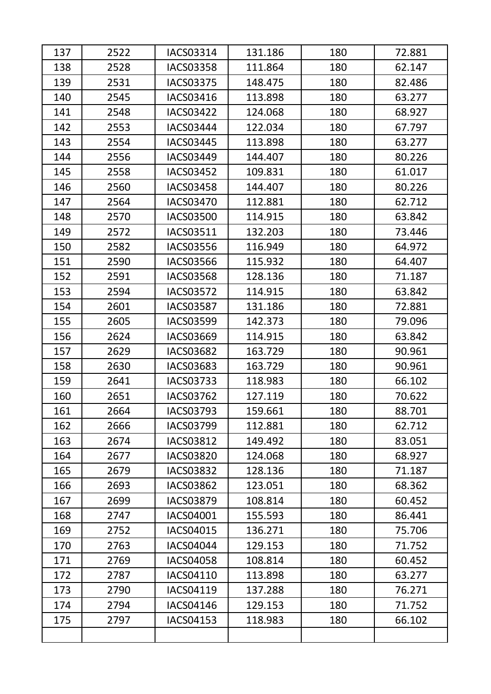| 137 | 2522 | IACS03314        | 131.186 | 180 | 72.881 |
|-----|------|------------------|---------|-----|--------|
| 138 | 2528 | <b>IACS03358</b> | 111.864 | 180 | 62.147 |
| 139 | 2531 | <b>IACS03375</b> | 148.475 | 180 | 82.486 |
| 140 | 2545 | IACS03416        | 113.898 | 180 | 63.277 |
| 141 | 2548 | <b>IACS03422</b> | 124.068 | 180 | 68.927 |
| 142 | 2553 | IACS03444        | 122.034 | 180 | 67.797 |
| 143 | 2554 | <b>IACS03445</b> | 113.898 | 180 | 63.277 |
| 144 | 2556 | <b>IACS03449</b> | 144.407 | 180 | 80.226 |
| 145 | 2558 | <b>IACS03452</b> | 109.831 | 180 | 61.017 |
| 146 | 2560 | <b>IACS03458</b> | 144.407 | 180 | 80.226 |
| 147 | 2564 | <b>IACS03470</b> | 112.881 | 180 | 62.712 |
| 148 | 2570 | <b>IACS03500</b> | 114.915 | 180 | 63.842 |
| 149 | 2572 | IACS03511        | 132.203 | 180 | 73.446 |
| 150 | 2582 | <b>IACS03556</b> | 116.949 | 180 | 64.972 |
| 151 | 2590 | <b>IACS03566</b> | 115.932 | 180 | 64.407 |
| 152 | 2591 | <b>IACS03568</b> | 128.136 | 180 | 71.187 |
| 153 | 2594 | <b>IACS03572</b> | 114.915 | 180 | 63.842 |
| 154 | 2601 | <b>IACS03587</b> | 131.186 | 180 | 72.881 |
| 155 | 2605 | <b>IACS03599</b> | 142.373 | 180 | 79.096 |
| 156 | 2624 | IACS03669        | 114.915 | 180 | 63.842 |
| 157 | 2629 | <b>IACS03682</b> | 163.729 | 180 | 90.961 |
| 158 | 2630 | IACS03683        | 163.729 | 180 | 90.961 |
| 159 | 2641 | <b>IACS03733</b> | 118.983 | 180 | 66.102 |
| 160 | 2651 | <b>IACS03762</b> | 127.119 | 180 | 70.622 |
| 161 | 2664 | IACS03793        | 159.661 | 180 | 88.701 |
| 162 | 2666 | <b>IACS03799</b> | 112.881 | 180 | 62.712 |
| 163 | 2674 | <b>IACS03812</b> | 149.492 | 180 | 83.051 |
| 164 | 2677 | <b>IACS03820</b> | 124.068 | 180 | 68.927 |
| 165 | 2679 | <b>IACS03832</b> | 128.136 | 180 | 71.187 |
| 166 | 2693 | <b>IACS03862</b> | 123.051 | 180 | 68.362 |
| 167 | 2699 | <b>IACS03879</b> | 108.814 | 180 | 60.452 |
| 168 | 2747 | IACS04001        | 155.593 | 180 | 86.441 |
| 169 | 2752 | IACS04015        | 136.271 | 180 | 75.706 |
| 170 | 2763 | IACS04044        | 129.153 | 180 | 71.752 |
| 171 | 2769 | <b>IACS04058</b> | 108.814 | 180 | 60.452 |
| 172 | 2787 | IACS04110        | 113.898 | 180 | 63.277 |
| 173 | 2790 | IACS04119        | 137.288 | 180 | 76.271 |
| 174 | 2794 | IACS04146        | 129.153 | 180 | 71.752 |
| 175 | 2797 | <b>IACS04153</b> | 118.983 | 180 | 66.102 |
|     |      |                  |         |     |        |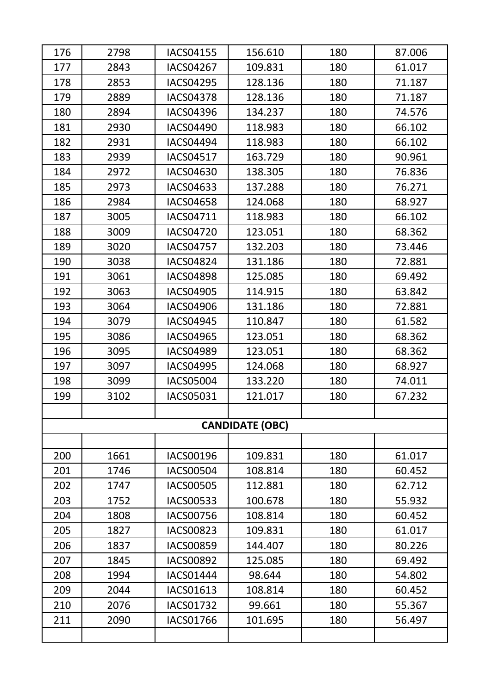| 176 | 2798 | <b>IACS04155</b> | 156.610                | 180 | 87.006 |
|-----|------|------------------|------------------------|-----|--------|
| 177 | 2843 | <b>IACS04267</b> | 109.831                | 180 | 61.017 |
| 178 | 2853 | <b>IACS04295</b> | 128.136                | 180 | 71.187 |
| 179 | 2889 | <b>IACS04378</b> | 128.136                | 180 | 71.187 |
| 180 | 2894 | <b>IACS04396</b> | 134.237                | 180 | 74.576 |
| 181 | 2930 | <b>IACS04490</b> | 118.983                | 180 | 66.102 |
| 182 | 2931 | <b>IACS04494</b> | 118.983                | 180 | 66.102 |
| 183 | 2939 | <b>IACS04517</b> | 163.729                | 180 | 90.961 |
| 184 | 2972 | <b>IACS04630</b> | 138.305                | 180 | 76.836 |
| 185 | 2973 | IACS04633        | 137.288                | 180 | 76.271 |
| 186 | 2984 | <b>IACS04658</b> | 124.068                | 180 | 68.927 |
| 187 | 3005 | IACS04711        | 118.983                | 180 | 66.102 |
| 188 | 3009 | <b>IACS04720</b> | 123.051                | 180 | 68.362 |
| 189 | 3020 | <b>IACS04757</b> | 132.203                | 180 | 73.446 |
| 190 | 3038 | <b>IACS04824</b> | 131.186                | 180 | 72.881 |
| 191 | 3061 | <b>IACS04898</b> | 125.085                | 180 | 69.492 |
| 192 | 3063 | <b>IACS04905</b> | 114.915                | 180 | 63.842 |
| 193 | 3064 | <b>IACS04906</b> | 131.186                | 180 | 72.881 |
| 194 | 3079 | <b>IACS04945</b> | 110.847                | 180 | 61.582 |
| 195 | 3086 | <b>IACS04965</b> | 123.051                | 180 | 68.362 |
| 196 | 3095 | <b>IACS04989</b> | 123.051                | 180 | 68.362 |
| 197 | 3097 | <b>IACS04995</b> | 124.068                | 180 | 68.927 |
| 198 | 3099 | <b>IACS05004</b> | 133.220                | 180 | 74.011 |
| 199 | 3102 | <b>IACS05031</b> | 121.017                | 180 | 67.232 |
|     |      |                  |                        |     |        |
|     |      |                  | <b>CANDIDATE (OBC)</b> |     |        |
|     |      |                  |                        |     |        |
| 200 | 1661 | <b>IACS00196</b> | 109.831                | 180 | 61.017 |
| 201 | 1746 | <b>IACS00504</b> | 108.814                | 180 | 60.452 |
| 202 | 1747 | <b>IACS00505</b> | 112.881                | 180 | 62.712 |
| 203 | 1752 | <b>IACS00533</b> | 100.678                | 180 | 55.932 |
| 204 | 1808 | <b>IACS00756</b> | 108.814                | 180 | 60.452 |
| 205 | 1827 | <b>IACS00823</b> | 109.831                | 180 | 61.017 |
| 206 | 1837 | <b>IACS00859</b> | 144.407                | 180 | 80.226 |
| 207 | 1845 | <b>IACS00892</b> | 125.085                | 180 | 69.492 |
| 208 | 1994 | <b>IACS01444</b> | 98.644                 | 180 | 54.802 |
| 209 | 2044 | IACS01613        | 108.814                | 180 | 60.452 |
| 210 | 2076 | <b>IACS01732</b> | 99.661                 | 180 | 55.367 |
| 211 | 2090 | <b>IACS01766</b> | 101.695                | 180 | 56.497 |
|     |      |                  |                        |     |        |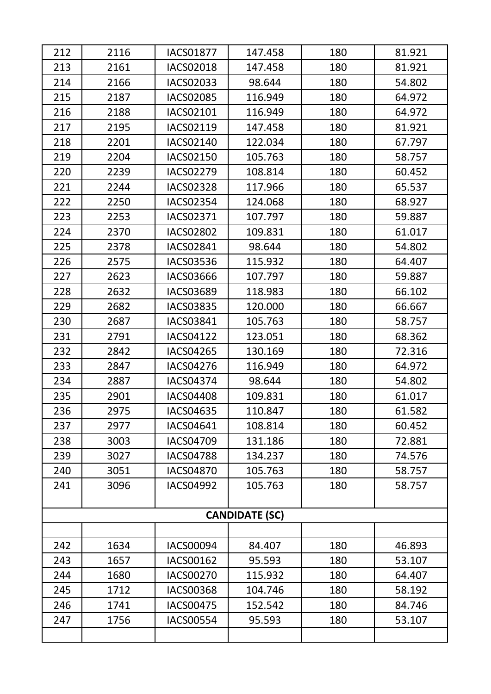| 212 | 2116 | <b>IACS01877</b> | 147.458               | 180 | 81.921 |
|-----|------|------------------|-----------------------|-----|--------|
| 213 | 2161 | <b>IACS02018</b> | 147.458               | 180 | 81.921 |
| 214 | 2166 | IACS02033        | 98.644                | 180 | 54.802 |
| 215 | 2187 | <b>IACS02085</b> | 116.949               | 180 | 64.972 |
| 216 | 2188 | IACS02101        | 116.949               | 180 | 64.972 |
| 217 | 2195 | IACS02119        | 147.458               | 180 | 81.921 |
| 218 | 2201 | <b>IACS02140</b> | 122.034               | 180 | 67.797 |
| 219 | 2204 | IACS02150        | 105.763               | 180 | 58.757 |
| 220 | 2239 | <b>IACS02279</b> | 108.814               | 180 | 60.452 |
| 221 | 2244 | <b>IACS02328</b> | 117.966               | 180 | 65.537 |
| 222 | 2250 | <b>IACS02354</b> | 124.068               | 180 | 68.927 |
| 223 | 2253 | IACS02371        | 107.797               | 180 | 59.887 |
| 224 | 2370 | <b>IACS02802</b> | 109.831               | 180 | 61.017 |
| 225 | 2378 | IACS02841        | 98.644                | 180 | 54.802 |
| 226 | 2575 | IACS03536        | 115.932               | 180 | 64.407 |
| 227 | 2623 | IACS03666        | 107.797               | 180 | 59.887 |
| 228 | 2632 | IACS03689        | 118.983               | 180 | 66.102 |
| 229 | 2682 | IACS03835        | 120.000               | 180 | 66.667 |
| 230 | 2687 | IACS03841        | 105.763               | 180 | 58.757 |
| 231 | 2791 | IACS04122        | 123.051               | 180 | 68.362 |
| 232 | 2842 | IACS04265        | 130.169               | 180 | 72.316 |
| 233 | 2847 | IACS04276        | 116.949               | 180 | 64.972 |
| 234 | 2887 | <b>IACS04374</b> | 98.644                | 180 | 54.802 |
| 235 | 2901 | <b>IACS04408</b> | 109.831               | 180 | 61.017 |
| 236 | 2975 | IACS04635        | 110.847               | 180 | 61.582 |
| 237 | 2977 | IACS04641        | 108.814               | 180 | 60.452 |
| 238 | 3003 | IACS04709        | 131.186               | 180 | 72.881 |
| 239 | 3027 | <b>IACS04788</b> | 134.237               | 180 | 74.576 |
| 240 | 3051 | <b>IACS04870</b> | 105.763               | 180 | 58.757 |
| 241 | 3096 | <b>IACS04992</b> | 105.763               | 180 | 58.757 |
|     |      |                  |                       |     |        |
|     |      |                  | <b>CANDIDATE (SC)</b> |     |        |
|     |      |                  |                       |     |        |
| 242 | 1634 | IACS00094        | 84.407                | 180 | 46.893 |
| 243 | 1657 | <b>IACS00162</b> | 95.593                | 180 | 53.107 |
| 244 | 1680 | <b>IACS00270</b> | 115.932               | 180 | 64.407 |
| 245 | 1712 | <b>IACS00368</b> | 104.746               | 180 | 58.192 |
| 246 | 1741 | <b>IACS00475</b> | 152.542               | 180 | 84.746 |
| 247 | 1756 | <b>IACS00554</b> | 95.593                | 180 | 53.107 |
|     |      |                  |                       |     |        |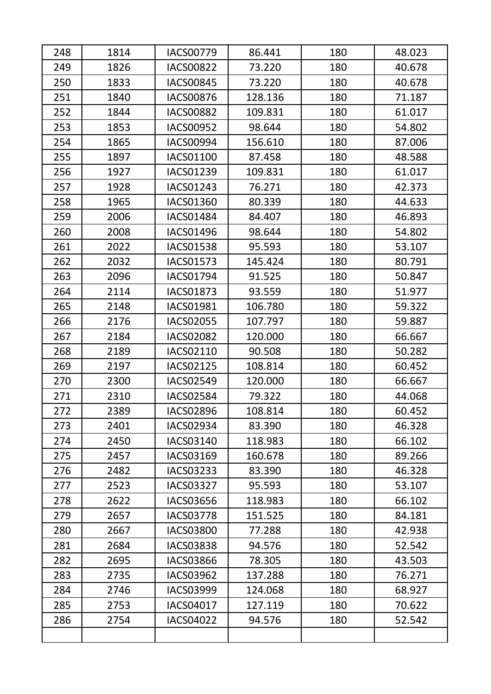| 248 | 1814 | <b>IACS00779</b> | 86.441  | 180 | 48.023 |
|-----|------|------------------|---------|-----|--------|
| 249 | 1826 | <b>IACS00822</b> | 73.220  | 180 | 40.678 |
| 250 | 1833 | <b>IACS00845</b> | 73.220  | 180 | 40.678 |
| 251 | 1840 | <b>IACS00876</b> | 128.136 | 180 | 71.187 |
| 252 | 1844 | <b>IACS00882</b> | 109.831 | 180 | 61.017 |
| 253 | 1853 | <b>IACS00952</b> | 98.644  | 180 | 54.802 |
| 254 | 1865 | <b>IACS00994</b> | 156.610 | 180 | 87.006 |
| 255 | 1897 | <b>IACS01100</b> | 87.458  | 180 | 48.588 |
| 256 | 1927 | <b>IACS01239</b> | 109.831 | 180 | 61.017 |
| 257 | 1928 | IACS01243        | 76.271  | 180 | 42.373 |
| 258 | 1965 | <b>IACS01360</b> | 80.339  | 180 | 44.633 |
| 259 | 2006 | IACS01484        | 84.407  | 180 | 46.893 |
| 260 | 2008 | IACS01496        | 98.644  | 180 | 54.802 |
| 261 | 2022 | <b>IACS01538</b> | 95.593  | 180 | 53.107 |
| 262 | 2032 | <b>IACS01573</b> | 145.424 | 180 | 80.791 |
| 263 | 2096 | IACS01794        | 91.525  | 180 | 50.847 |
| 264 | 2114 | <b>IACS01873</b> | 93.559  | 180 | 51.977 |
| 265 | 2148 | <b>IACS01981</b> | 106.780 | 180 | 59.322 |
| 266 | 2176 | <b>IACS02055</b> | 107.797 | 180 | 59.887 |
| 267 | 2184 | <b>IACS02082</b> | 120.000 | 180 | 66.667 |
| 268 | 2189 | IACS02110        | 90.508  | 180 | 50.282 |
| 269 | 2197 | <b>IACS02125</b> | 108.814 | 180 | 60.452 |
| 270 | 2300 | <b>IACS02549</b> | 120.000 | 180 | 66.667 |
| 271 | 2310 | <b>IACS02584</b> | 79.322  | 180 | 44.068 |
| 272 | 2389 | IACS02896        | 108.814 | 180 | 60.452 |
| 273 | 2401 | <b>IACS02934</b> | 83.390  | 180 | 46.328 |
| 274 | 2450 | <b>IACS03140</b> | 118.983 | 180 | 66.102 |
| 275 | 2457 | IACS03169        | 160.678 | 180 | 89.266 |
| 276 | 2482 | IACS03233        | 83.390  | 180 | 46.328 |
| 277 | 2523 | <b>IACS03327</b> | 95.593  | 180 | 53.107 |
| 278 | 2622 | <b>IACS03656</b> | 118.983 | 180 | 66.102 |
| 279 | 2657 | <b>IACS03778</b> | 151.525 | 180 | 84.181 |
| 280 | 2667 | <b>IACS03800</b> | 77.288  | 180 | 42.938 |
| 281 | 2684 | <b>IACS03838</b> | 94.576  | 180 | 52.542 |
| 282 | 2695 | <b>IACS03866</b> | 78.305  | 180 | 43.503 |
| 283 | 2735 | <b>IACS03962</b> | 137.288 | 180 | 76.271 |
| 284 | 2746 | <b>IACS03999</b> | 124.068 | 180 | 68.927 |
| 285 | 2753 | IACS04017        | 127.119 | 180 | 70.622 |
| 286 | 2754 | <b>IACS04022</b> | 94.576  | 180 | 52.542 |
|     |      |                  |         |     |        |
|     |      |                  |         |     |        |